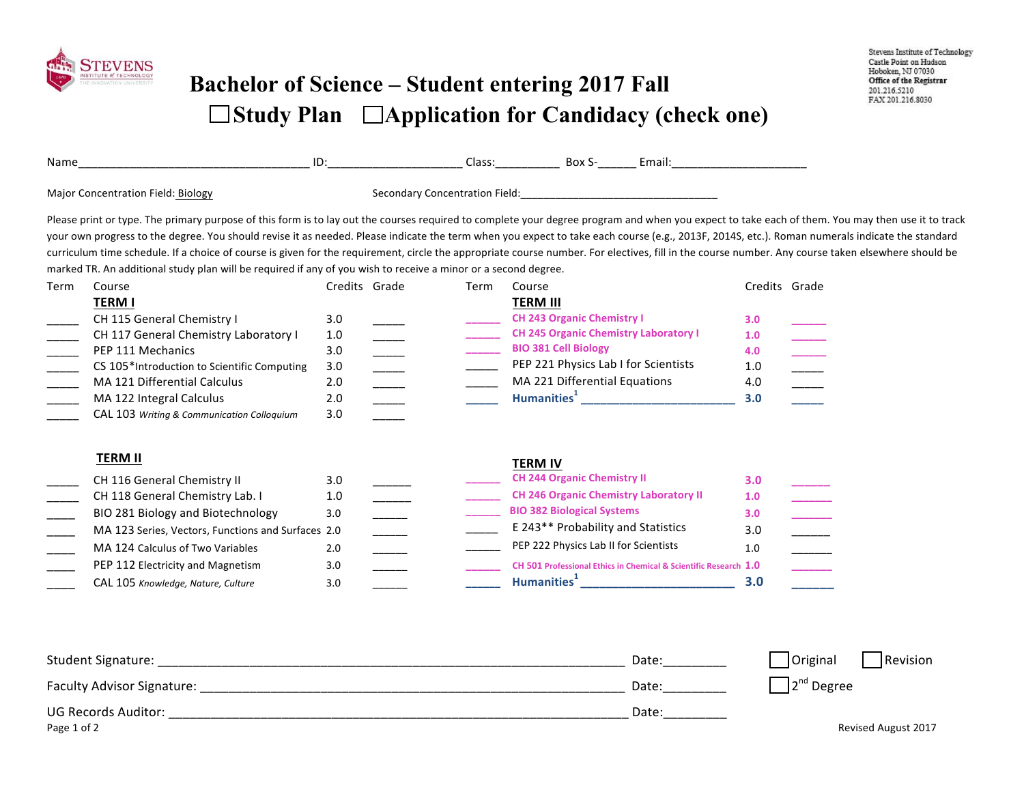

## **Bachelor of Science – Student entering 2017 Fall**  □ Study Plan □ Application for Candidacy (check one)

| Name                               |                                                                                                                                                                                                                                                                                                                                                                                                                                                                                                                                                                                                                                                                                                                            | ID:                                           |  |      |                         | Class: Box S-                                                                                                                                          | Email: Email:                                                                                                                                                                                                                                                                            |                                        |                                                                                                                                                                                                                          |
|------------------------------------|----------------------------------------------------------------------------------------------------------------------------------------------------------------------------------------------------------------------------------------------------------------------------------------------------------------------------------------------------------------------------------------------------------------------------------------------------------------------------------------------------------------------------------------------------------------------------------------------------------------------------------------------------------------------------------------------------------------------------|-----------------------------------------------|--|------|-------------------------|--------------------------------------------------------------------------------------------------------------------------------------------------------|------------------------------------------------------------------------------------------------------------------------------------------------------------------------------------------------------------------------------------------------------------------------------------------|----------------------------------------|--------------------------------------------------------------------------------------------------------------------------------------------------------------------------------------------------------------------------|
| Major Concentration Field: Biology |                                                                                                                                                                                                                                                                                                                                                                                                                                                                                                                                                                                                                                                                                                                            |                                               |  |      |                         |                                                                                                                                                        |                                                                                                                                                                                                                                                                                          |                                        |                                                                                                                                                                                                                          |
|                                    | Please print or type. The primary purpose of this form is to lay out the courses required to complete your degree program and when you expect to take each of them. You may then use it to track<br>your own progress to the degree. You should revise it as needed. Please indicate the term when you expect to take each course (e.g., 2013F, 2014S, etc.). Roman numerals indicate the standard<br>curriculum time schedule. If a choice of course is given for the requirement, circle the appropriate course number. For electives, fill in the course number. Any course taken elsewhere should be<br>marked TR. An additional study plan will be required if any of you wish to receive a minor or a second degree. |                                               |  |      |                         |                                                                                                                                                        |                                                                                                                                                                                                                                                                                          |                                        |                                                                                                                                                                                                                          |
| Term                               | Course                                                                                                                                                                                                                                                                                                                                                                                                                                                                                                                                                                                                                                                                                                                     | Credits Grade                                 |  | Term | Course                  |                                                                                                                                                        |                                                                                                                                                                                                                                                                                          |                                        | Credits Grade                                                                                                                                                                                                            |
|                                    | <b>TERM I</b><br>CH 115 General Chemistry I<br>CH 117 General Chemistry Laboratory I<br>PEP 111 Mechanics<br>CS 105*Introduction to Scientific Computing<br>MA 121 Differential Calculus<br>MA 122 Integral Calculus<br>CAL 103 Writing & Communication Colloquium                                                                                                                                                                                                                                                                                                                                                                                                                                                         | 3.0<br>1.0<br>3.0<br>3.0<br>2.0<br>2.0<br>3.0 |  |      | <b>TERM III</b>         | <b>CH 243 Organic Chemistry I</b><br><b>BIO 381 Cell Biology</b><br>PEP 221 Physics Lab I for Scientists<br>MA 221 Differential Equations              | <b>CH 245 Organic Chemistry Laboratory I</b><br>Humanities <sup>1</sup> and the state of the state of the state of the state of the state of the state of the state of the state of the state of the state of the state of the state of the state of the state of the state of the state | 3.0<br>1.0<br>4.0<br>1.0<br>4.0<br>3.0 |                                                                                                                                                                                                                          |
|                                    | <b>TERM II</b>                                                                                                                                                                                                                                                                                                                                                                                                                                                                                                                                                                                                                                                                                                             |                                               |  |      | <b>TERM IV</b>          |                                                                                                                                                        |                                                                                                                                                                                                                                                                                          |                                        |                                                                                                                                                                                                                          |
|                                    | CH 116 General Chemistry II<br>CH 118 General Chemistry Lab. I<br>BIO 281 Biology and Biotechnology<br>MA 123 Series, Vectors, Functions and Surfaces 2.0<br>MA 124 Calculus of Two Variables<br>PEP 112 Electricity and Magnetism                                                                                                                                                                                                                                                                                                                                                                                                                                                                                         | 3.0<br>1.0<br>3.0<br>2.0<br>3.0               |  |      | Humanities <sup>1</sup> | <b>CH 244 Organic Chemistry II</b><br><b>BIO 382 Biological Systems</b><br>E 243** Probability and Statistics<br>PEP 222 Physics Lab II for Scientists | <b>CH 246 Organic Chemistry Laboratory II</b><br>CH 501 Professional Ethics in Chemical & Scientific Research 1.0                                                                                                                                                                        | 3.0<br>1.0<br>3.0<br>3.0<br>1.0<br>3.0 | $\begin{array}{c} \begin{array}{c} \begin{array}{c} \begin{array}{c} \begin{array}{c} \end{array} \\ \end{array} \\ \begin{array}{c} \end{array} \\ \begin{array}{c} \end{array} \\ \end{array} \end{array} \end{array}$ |
|                                    | CAL 105 Knowledge, Nature, Culture                                                                                                                                                                                                                                                                                                                                                                                                                                                                                                                                                                                                                                                                                         | 3.0                                           |  |      |                         |                                                                                                                                                        |                                                                                                                                                                                                                                                                                          |                                        |                                                                                                                                                                                                                          |

| Student Signature:         | Date: | Original<br>Revision |
|----------------------------|-------|----------------------|
| Faculty Advisor Signature: | Date: | $2nd$ Degree         |
| <b>UG Records Auditor:</b> | Date: |                      |
| Page 1 of 2                |       | Revised August 2017  |